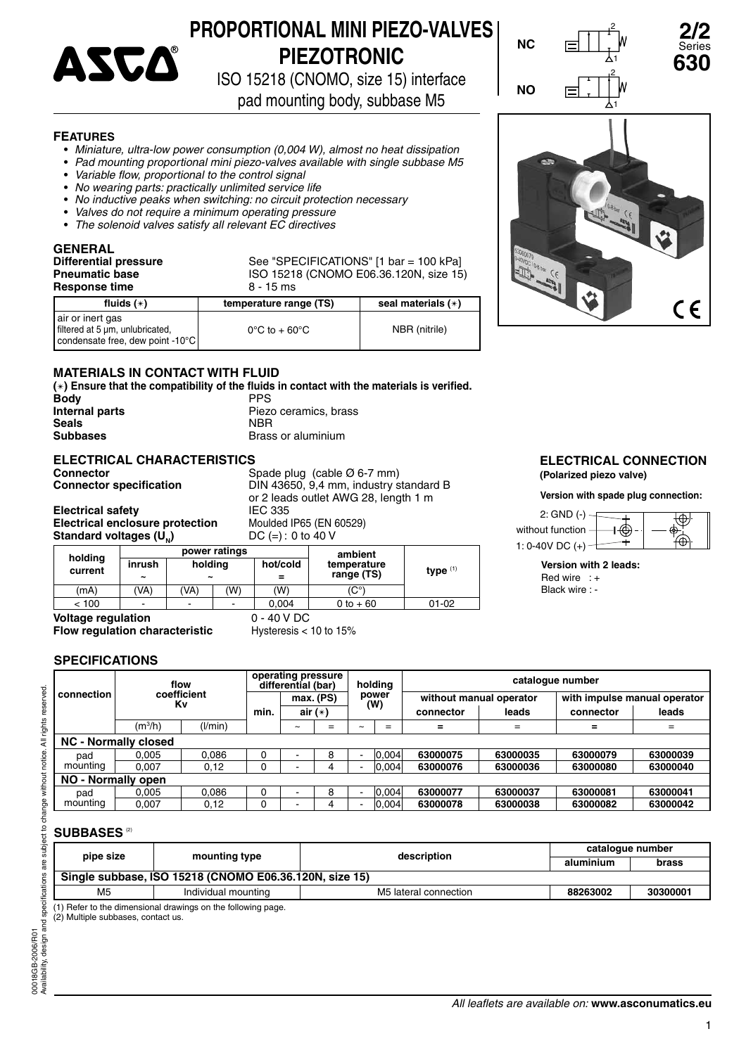

# **PROPORTIONAL MINI PIEZO-VALVES PIEZOTRONIC**

ISO 15218 (CNOMO, size 15) interface

pad mounting body, subbase M5

### **FEATURES**

- *Miniature, ultra-low power consumption (0,004 W), almost no heat dissipation*
- *Pad mounting proportional mini piezo-valves available with single subbase M5*
- Variable flow, proportional to the control signal
- • *No wearing parts: practically unlimited service life*
- • *No inductive peaks when switching: no circuit protection necessary*
- *Valves do not require a minimum operating pressure*
- *The solenoid valves satisfy all relevant EC directives*

**GENERAL Response time** 8 - 15 ms

**Differential pressure** See "SPECIFICATIONS" [1 bar = 100 kPa] **Pneumatic base** ISO 15218 (CNOMO E06.36.120N, size 15)

| fluids $(*)$                                                                              | temperature range (TS)             | seal materials (*) |
|-------------------------------------------------------------------------------------------|------------------------------------|--------------------|
| air or inert gas<br>l filtered at 5 um, unlubricated,<br>condensate free, dew point -10°C | $0^{\circ}$ C to + 60 $^{\circ}$ C | NBR (nitrile)      |

# **MATERIALS IN CONTACT WITH FLUID**

(∗) Ensure that the compatibility of the fluids in contact with the materials is verified.<br>Body<br>*PPS* **Body**<br>Internal parts **Internal parts Piezo ceramics, brass**<br> **Seals Seals** NBR **Subbases Brass or aluminium** 

# **ELECTRICAL CHARACTERISTICS**

**Connector Connector** *Spade plug (cable Ø 6-7 mm)*<br>
Connector specification **Connector** *Spade DIN 43650, 9,4 mm, industry s* 

**Standard voltages (U)** 

**Connector specifi cation** DIN 43650, 9,4 mm, industry standard B or 2 leads outlet AWG 28, length 1 m **Electrical safety IEC 335**<br>**Electrical enclosure protection** Moulded IP65 (EN 60529) **Electrical enclosure protection** Moulded IP65 (EN 6<br>**Standard voltages (U.)** DC (=): 0 to 40 V

|         | . . J \ - N   |                       |     |          |             |            |  |  |
|---------|---------------|-----------------------|-----|----------|-------------|------------|--|--|
|         | power ratings |                       |     |          | ambient     |            |  |  |
| holding | inrush        | holding               |     | hot/cold | temperature |            |  |  |
| current | ~             | $\tilde{\phantom{a}}$ |     | $=$      | range (TS)  | type $(1)$ |  |  |
| (mA)    | 'VA)          | (VA)                  | (W) | (W)      | $(C^\circ)$ |            |  |  |
| < 100   | -             | -                     | -   | 0.004    | 0 to $+60$  | $01 - 02$  |  |  |
|         |               |                       |     |          |             |            |  |  |

**Voltage regulation** 0 - 40 V DC **Flow regulation characteristic** Hysteresis < 10 to 15%

## **SPECIFICATIONS**

|            |                             | flow    |      |   | operating pressure<br>differential (bar)<br>holding |              | catalogue number |                         |          |                              |          |
|------------|-----------------------------|---------|------|---|-----------------------------------------------------|--------------|------------------|-------------------------|----------|------------------------------|----------|
| connection | coefficient<br>Κv           |         |      |   | max. (PS)                                           | power<br>(W) |                  | without manual operator |          | with impulse manual operator |          |
|            |                             |         | min. |   | air $(*)$                                           |              | connector        |                         | leads    | connector                    | leads    |
|            | (m <sup>3</sup> /h)         | (1/min) |      | ∼ | $=$                                                 | ∼            | $=$              | =                       | $=$      | $\equiv$                     | $=$      |
|            | <b>NC - Normally closed</b> |         |      |   |                                                     |              |                  |                         |          |                              |          |
| pad        | 0.005                       | 0.086   | υ    |   | 8                                                   |              | 0.004            | 63000075                | 63000035 | 63000079                     | 63000039 |
| mounting   | 0.007                       | 0,12    |      |   |                                                     |              | 0.004            | 63000076                | 63000036 | 63000080                     | 63000040 |
|            | NO - Normally open          |         |      |   |                                                     |              |                  |                         |          |                              |          |
| pad        | 0.005                       | 0.086   |      |   | 8                                                   |              | 0.004            | 63000077                | 63000037 | 63000081                     | 63000041 |
| mounting   | 0,007                       | 0,12    |      |   | 4                                                   |              | 0.004            | 63000078                | 63000038 | 63000082                     | 63000042 |

# **SUBBASES**<sup>(2)</sup>

00018GB-2006/R01

00018GB-2006/R01 Availability,

Availability, design and specifications are subject to change without notice. All rights reserved.

design and specifications are subject to change without notice. All rights reserved.

| pipe size                                                    | mounting type | description | cataloque number |       |  |  |  |
|--------------------------------------------------------------|---------------|-------------|------------------|-------|--|--|--|
|                                                              |               |             | aluminium        | brass |  |  |  |
| Single subbase, ISO 15218 (CNOMO E06.36.120N, size 15)       |               |             |                  |       |  |  |  |
| M <sub>5</sub>                                               | 88263002      | 30300001    |                  |       |  |  |  |
| (1) Refer to the dimensional drawings on the following page. |               |             |                  |       |  |  |  |

(2) Multiple subbases, contact us.



#### **ELECTRICAL CONNECTION (Polarized piezo valve)**

CE

**Version with spade plug connection:**



|  |  | Version with 2 leads: |
|--|--|-----------------------|
|--|--|-----------------------|

Red wire : + Black wire : -

*All leafl ets are available on:* **www.asconumatics.eu**

1